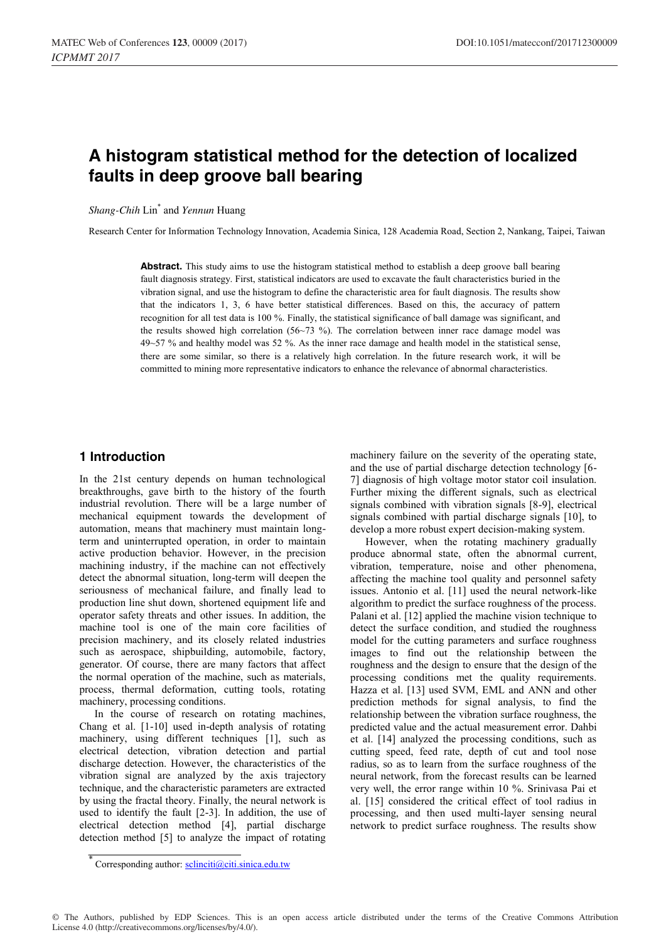# **A histogram statistical method for the detection of localized faults in deep groove ball bearing**

*Shang-Chih* Lin\* and *Yennun* Huang

Research Center for Information Technology Innovation, Academia Sinica, 128 Academia Road, Section 2, Nankang, Taipei, Taiwan

**Abstract.** This study aims to use the histogram statistical method to establish a deep groove ball bearing fault diagnosis strategy. First, statistical indicators are used to excavate the fault characteristics buried in the vibration signal, and use the histogram to define the characteristic area for fault diagnosis. The results show that the indicators 1, 3, 6 have better statistical differences. Based on this, the accuracy of pattern recognition for all test data is 100 %. Finally, the statistical significance of ball damage was significant, and the results showed high correlation (56~73 %). The correlation between inner race damage model was 49~57 % and healthy model was 52 %. As the inner race damage and health model in the statistical sense, there are some similar, so there is a relatively high correlation. In the future research work, it will be committed to mining more representative indicators to enhance the relevance of abnormal characteristics.

### **1 Introduction**

In the 21st century depends on human technological breakthroughs, gave birth to the history of the fourth industrial revolution. There will be a large number of mechanical equipment towards the development of automation, means that machinery must maintain longterm and uninterrupted operation, in order to maintain active production behavior. However, in the precision machining industry, if the machine can not effectively detect the abnormal situation, long-term will deepen the seriousness of mechanical failure, and finally lead to production line shut down, shortened equipment life and operator safety threats and other issues. In addition, the machine tool is one of the main core facilities of precision machinery, and its closely related industries such as aerospace, shipbuilding, automobile, factory, generator. Of course, there are many factors that affect the normal operation of the machine, such as materials, process, thermal deformation, cutting tools, rotating machinery, processing conditions.

In the course of research on rotating machines, Chang et al. [1-10] used in-depth analysis of rotating machinery, using different techniques [1], such as electrical detection, vibration detection and partial discharge detection. However, the characteristics of the vibration signal are analyzed by the axis trajectory technique, and the characteristic parameters are extracted by using the fractal theory. Finally, the neural network is used to identify the fault [2-3]. In addition, the use of electrical detection method [4], partial discharge detection method [5] to analyze the impact of rotating

machinery failure on the severity of the operating state, and the use of partial discharge detection technology [6- 7] diagnosis of high voltage motor stator coil insulation. Further mixing the different signals, such as electrical signals combined with vibration signals [8-9], electrical signals combined with partial discharge signals [10], to develop a more robust expert decision-making system.

However, when the rotating machinery gradually produce abnormal state, often the abnormal current, vibration, temperature, noise and other phenomena, affecting the machine tool quality and personnel safety issues. Antonio et al. [11] used the neural network-like algorithm to predict the surface roughness of the process. Palani et al. [12] applied the machine vision technique to detect the surface condition, and studied the roughness model for the cutting parameters and surface roughness images to find out the relationship between the roughness and the design to ensure that the design of the processing conditions met the quality requirements. Hazza et al. [13] used SVM, EML and ANN and other prediction methods for signal analysis, to find the relationship between the vibration surface roughness, the predicted value and the actual measurement error. Dahbi et al. [14] analyzed the processing conditions, such as cutting speed, feed rate, depth of cut and tool nose radius, so as to learn from the surface roughness of the neural network, from the forecast results can be learned very well, the error range within 10 %. Srinivasa Pai et al. [15] considered the critical effect of tool radius in processing, and then used multi-layer sensing neural network to predict surface roughness. The results show

<sup>\*</sup> Corresponding author: sclinciti@citi.sinica.edu.tw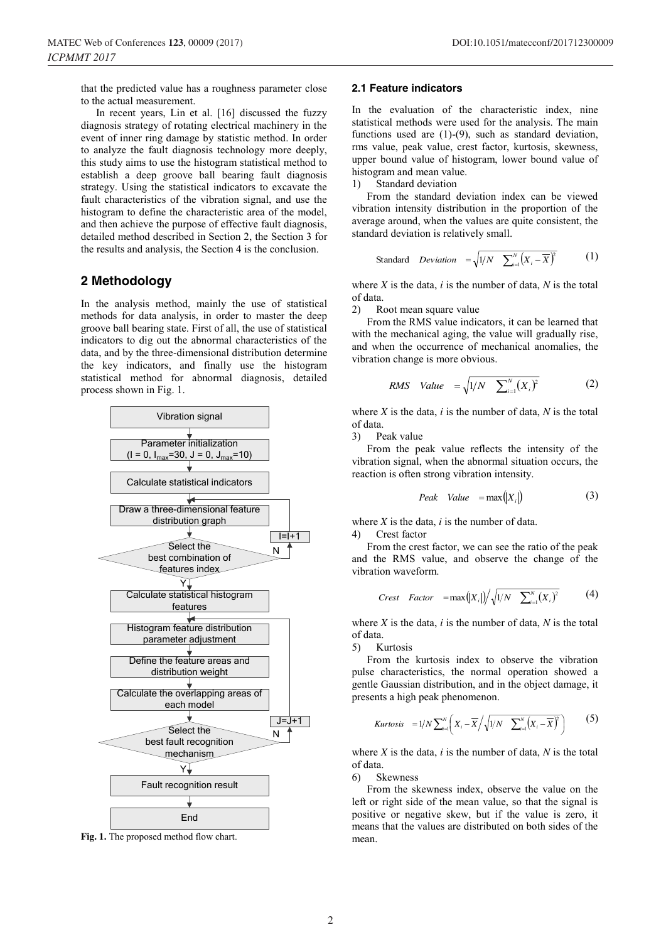that the predicted value has a roughness parameter close to the actual measurement.

In recent years, Lin et al. [16] discussed the fuzzy diagnosis strategy of rotating electrical machinery in the event of inner ring damage by statistic method. In order to analyze the fault diagnosis technology more deeply, this study aims to use the histogram statistical method to establish a deep groove ball bearing fault diagnosis strategy. Using the statistical indicators to excavate the fault characteristics of the vibration signal, and use the histogram to define the characteristic area of the model, and then achieve the purpose of effective fault diagnosis, detailed method described in Section 2, the Section 3 for the results and analysis, the Section 4 is the conclusion.

### **2 Methodology**

In the analysis method, mainly the use of statistical methods for data analysis, in order to master the deep groove ball bearing state. First of all, the use of statistical indicators to dig out the abnormal characteristics of the data, and by the three-dimensional distribution determine the key indicators, and finally use the histogram statistical method for abnormal diagnosis, detailed process shown in Fig. 1.



**Fig. 1.** The proposed method flow chart.

#### **2.1 Feature indicators**

In the evaluation of the characteristic index, nine statistical methods were used for the analysis. The main functions used are (1)-(9), such as standard deviation, rms value, peak value, crest factor, kurtosis, skewness, upper bound value of histogram, lower bound value of histogram and mean value.

1) Standard deviation

From the standard deviation index can be viewed vibration intensity distribution in the proportion of the average around, when the values are quite consistent, the standard deviation is relatively small.

Standard *Deviation* = 
$$
\sqrt{1/N} \sum_{i=1}^{N} (X_i - \overline{X})^2
$$
 (1)

where *X* is the data, *i* is the number of data, *N* is the total of data.

2) Root mean square value

From the RMS value indicators, it can be learned that with the mechanical aging, the value will gradually rise, and when the occurrence of mechanical anomalies, the vibration change is more obvious.

$$
RMS \quad Value = \sqrt{1/N} \quad \sum_{i=1}^{N} (X_i)^2 \tag{2}
$$

where *X* is the data, *i* is the number of data, *N* is the total of data.

3) Peak value

From the peak value reflects the intensity of the vibration signal, when the abnormal situation occurs, the reaction is often strong vibration intensity.

$$
Peak \quad Value = \max(|X_i|) \tag{3}
$$

where  $X$  is the data,  $i$  is the number of data.

4) Crest factor

From the crest factor, we can see the ratio of the peak and the RMS value, and observe the change of the vibration waveform.

$$
Crest \quad Factor = \max(|X_i|) / \sqrt{1/N \sum_{i=1}^{N} (X_i)^2}
$$
 (4)

where *X* is the data, *i* is the number of data, *N* is the total of data.

5) Kurtosis

From the kurtosis index to observe the vibration pulse characteristics, the normal operation showed a gentle Gaussian distribution, and in the object damage, it presents a high peak phenomenon.

Kurtosis 
$$
=1/N \sum_{i=1}^{N} \left( X_i - \overline{X} / \sqrt{1/N} \sum_{i=1}^{N} \left( X_i - \overline{X} \right)^2 \right)
$$
 (5)

where  $X$  is the data,  $i$  is the number of data,  $N$  is the total of data.

6) Skewness

From the skewness index, observe the value on the left or right side of the mean value, so that the signal is positive or negative skew, but if the value is zero, it means that the values are distributed on both sides of the mean.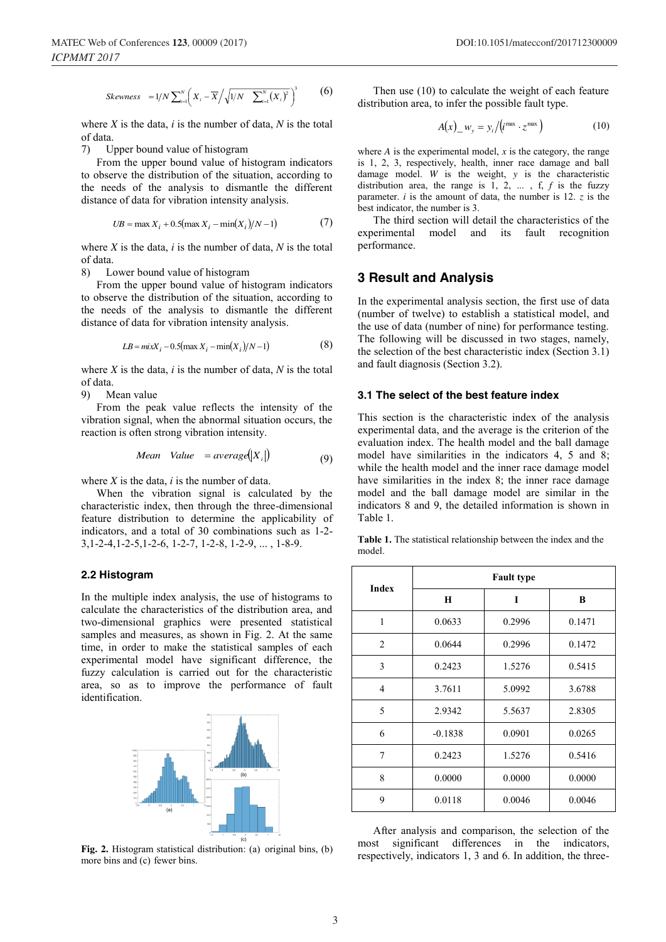Skewness 
$$
=1/N \sum_{i=1}^{N} \left( X_i - \overline{X} / \sqrt{1/N} \sum_{i=1}^{N} \left( X_i \right)^2 \right)^3
$$
 (6)

where *X* is the data, *i* is the number of data, *N* is the total of data.

7) Upper bound value of histogram

From the upper bound value of histogram indicators to observe the distribution of the situation, according to the needs of the analysis to dismantle the different distance of data for vibration intensity analysis.

$$
UB = \max X_i + 0.5(\max X_i - \min(X_i)/N - 1)
$$
 (7)

where *X* is the data, *i* is the number of data, *N* is the total of data.

8) Lower bound value of histogram

From the upper bound value of histogram indicators to observe the distribution of the situation, according to the needs of the analysis to dismantle the different distance of data for vibration intensity analysis.

$$
LB = mixX_i - 0.5(max X_i - min(X_i)/N - 1)
$$
 (8)

where *X* is the data, *i* is the number of data, *N* is the total of data.

9) Mean value

From the peak value reflects the intensity of the vibration signal, when the abnormal situation occurs, the reaction is often strong vibration intensity.

Mean Value = average
$$
\begin{pmatrix} |X_i| & 0 \\ 0 & 0 \end{pmatrix}
$$

where *X* is the data, *i* is the number of data.

When the vibration signal is calculated by the characteristic index, then through the three-dimensional feature distribution to determine the applicability of indicators, and a total of 30 combinations such as 1-2- 3,1-2-4,1-2-5,1-2-6, 1-2-7, 1-2-8, 1-2-9, ... , 1-8-9.

#### **2.2 Histogram**

In the multiple index analysis, the use of histograms to calculate the characteristics of the distribution area, and two-dimensional graphics were presented statistical samples and measures, as shown in Fig. 2. At the same time, in order to make the statistical samples of each experimental model have significant difference, the fuzzy calculation is carried out for the characteristic area, so as to improve the performance of fault identification.



**Fig. 2.** Histogram statistical distribution: (a) original bins, (b) more bins and (c) fewer bins.

Then use (10) to calculate the weight of each feature distribution area, to infer the possible fault type.

$$
A(x)_{\perp} w_y = y_i / (i^{\max} \cdot z^{\max})
$$
 (10)

where  $A$  is the experimental model,  $x$  is the category, the range is 1, 2, 3, respectively, health, inner race damage and ball damage model. *W* is the weight, *y* is the characteristic distribution area, the range is 1, 2, ... , f, *f* is the fuzzy parameter. *i* is the amount of data, the number is 12. *z* is the best indicator, the number is 3.

The third section will detail the characteristics of the experimental model and its fault recognition performance.

### **3 Result and Analysis**

In the experimental analysis section, the first use of data (number of twelve) to establish a statistical model, and the use of data (number of nine) for performance testing. The following will be discussed in two stages, namely, the selection of the best characteristic index (Section 3.1) and fault diagnosis (Section 3.2).

#### **3.1 The select of the best feature index**

This section is the characteristic index of the analysis experimental data, and the average is the criterion of the evaluation index. The health model and the ball damage model have similarities in the indicators 4, 5 and 8; while the health model and the inner race damage model have similarities in the index 8; the inner race damage model and the ball damage model are similar in the indicators 8 and 9, the detailed information is shown in Table 1.

|        | <b>Table 1.</b> The statistical relationship between the index and the |  |  |
|--------|------------------------------------------------------------------------|--|--|
| model. |                                                                        |  |  |

| <b>Index</b>   | <b>Fault type</b> |        |        |  |  |
|----------------|-------------------|--------|--------|--|--|
|                | H                 | T      | B      |  |  |
| 1              | 0.0633            | 0.2996 | 0.1471 |  |  |
| 2              | 0.0644            | 0.2996 | 0.1472 |  |  |
| 3              | 0.2423            | 1.5276 | 0.5415 |  |  |
| $\overline{4}$ | 3.7611            | 5.0992 | 3.6788 |  |  |
| 5              | 2.9342            | 5.5637 | 2.8305 |  |  |
| 6              | $-0.1838$         | 0.0901 | 0.0265 |  |  |
| 7              | 0.2423            | 1.5276 | 0.5416 |  |  |
| 8              | 0.0000            | 0.0000 | 0.0000 |  |  |
| 9              | 0.0118            | 0.0046 | 0.0046 |  |  |

After analysis and comparison, the selection of the most significant differences in the indicators, respectively, indicators 1, 3 and 6. In addition, the three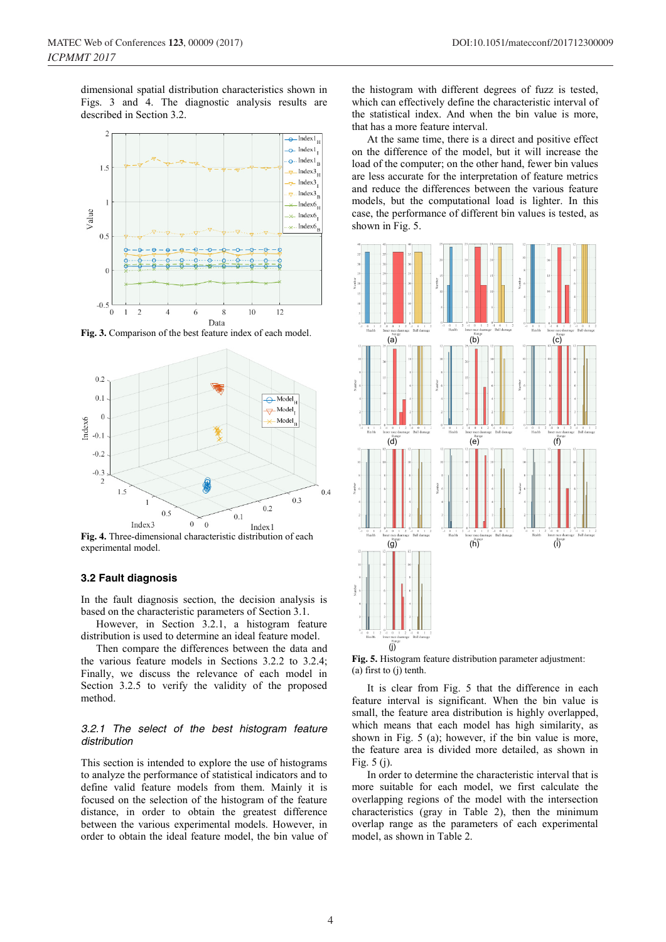dimensional spatial distribution characteristics shown in Figs. 3 and 4. The diagnostic analysis results are described in Section 3.2.



**Fig. 3.** Comparison of the best feature index of each model.



**Fig. 4.** Three-dimensional characteristic distribution of each experimental model.

#### **3.2 Fault diagnosis**

In the fault diagnosis section, the decision analysis is based on the characteristic parameters of Section 3.1.

However, in Section 3.2.1, a histogram feature distribution is used to determine an ideal feature model.

Then compare the differences between the data and the various feature models in Sections 3.2.2 to 3.2.4; Finally, we discuss the relevance of each model in Section 3.2.5 to verify the validity of the proposed method.

#### *3.2.1 The select of the best histogram feature distribution*

This section is intended to explore the use of histograms to analyze the performance of statistical indicators and to define valid feature models from them. Mainly it is focused on the selection of the histogram of the feature distance, in order to obtain the greatest difference between the various experimental models. However, in order to obtain the ideal feature model, the bin value of the histogram with different degrees of fuzz is tested, which can effectively define the characteristic interval of the statistical index. And when the bin value is more, that has a more feature interval.

At the same time, there is a direct and positive effect on the difference of the model, but it will increase the load of the computer; on the other hand, fewer bin values are less accurate for the interpretation of feature metrics and reduce the differences between the various feature models, but the computational load is lighter. In this case, the performance of different bin values is tested, as shown in Fig. 5.



**Fig. 5.** Histogram feature distribution parameter adjustment: (a) first to (j) tenth.

It is clear from Fig. 5 that the difference in each feature interval is significant. When the bin value is small, the feature area distribution is highly overlapped, which means that each model has high similarity, as shown in Fig. 5 (a); however, if the bin value is more, the feature area is divided more detailed, as shown in Fig. 5 (j).

In order to determine the characteristic interval that is more suitable for each model, we first calculate the overlapping regions of the model with the intersection characteristics (gray in Table 2), then the minimum overlap range as the parameters of each experimental model, as shown in Table 2.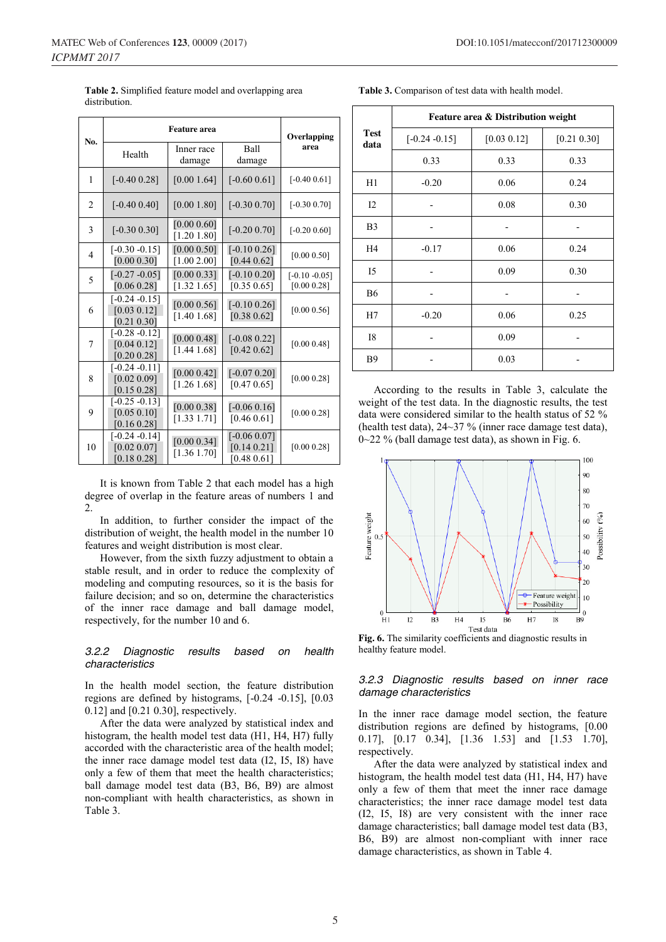|                |                                                | Overlapping                |                                               |                                 |
|----------------|------------------------------------------------|----------------------------|-----------------------------------------------|---------------------------------|
| No.            | Health                                         | Inner race<br>damage       | Ball<br>damage                                | area                            |
| 1              | $[-0.40\ 0.28]$                                | [0.001.64]                 | $[-0.60 0.61]$                                | $[-0.40\ 0.61]$                 |
| 2              | $[-0.400.40]$                                  | [0.001.80]                 | $[-0.30 0.70]$                                | $[-0.30 0.70]$                  |
| 3              | $[-0.30 0.30]$                                 | [0.00 0.60]<br>[1.20 1.80] | $[-0.20\ 0.70]$                               | $[-0.20 0.60]$                  |
| $\overline{4}$ | $[-0.30 - 0.15]$<br>[0.00 0.30]                | [0.00 0.50]<br>[1.00 2.00] | $[-0.10\ 0.26]$<br>[0.44 0.62]                | [0.00 0.50]                     |
| 5              | $[-0.27 - 0.05]$<br>[0.06 0.28]                | [0.00 0.33]<br>[1.32 1.65] | $[-0.10\ 0.20]$<br>[0.35 0.65]                | $[-0.10 - 0.05]$<br>[0.00 0.28] |
| 6              | $[-0.24 - 0.15]$<br>[0.03 0.12]<br>[0.21 0.30] | [0.00 0.56]<br>[1.40 1.68] | $[-0.10\ 0.26]$<br>[0.38 0.62]                | [0.00 0.56]                     |
| 7              | $[-0.28 - 0.12]$<br>[0.04 0.12]<br>[0.20 0.28] | [0.00 0.48]<br>[1.44 1.68] | $[-0.08\ 0.22]$<br>[0.42 0.62]                | [0.00 0.48]                     |
| 8              | $[-0.24 - 0.11]$<br>[0.02 0.09]<br>[0.15 0.28] | [0.00 0.42]<br>[1.26 1.68] | $[-0.07 0.20]$<br>[0.47 0.65]                 | [0.00 0.28]                     |
| 9              | $[-0.25 - 0.13]$<br>[0.05 0.10]<br>[0.16 0.28] | [0.00 0.38]<br>[1.33 1.71] | $[-0.06\ 0.16]$<br>[0.46 0.61]                | [0.00 0.28]                     |
| 10             | $[-0.24 - 0.14]$<br>[0.02 0.07]<br>[0.18 0.28] | [0.00 0.34]<br>[1.36 1.70] | $[-0.06\ 0.07]$<br>[0.14 0.21]<br>[0.48 0.61] | [0.00 0.28]                     |

**Table 2.** Simplified feature model and overlapping area distribution.

It is known from Table 2 that each model has a high degree of overlap in the feature areas of numbers 1 and 2.

In addition, to further consider the impact of the distribution of weight, the health model in the number 10 features and weight distribution is most clear.

However, from the sixth fuzzy adjustment to obtain a stable result, and in order to reduce the complexity of modeling and computing resources, so it is the basis for failure decision; and so on, determine the characteristics of the inner race damage and ball damage model, respectively, for the number 10 and 6.

#### *3.2.2 Diagnostic results based on health characteristics*

In the health model section, the feature distribution regions are defined by histograms, [-0.24 -0.15], [0.03 0.12] and [0.21 0.30], respectively.

After the data were analyzed by statistical index and histogram, the health model test data (H1, H4, H7) fully accorded with the characteristic area of the health model; the inner race damage model test data (I2, I5, I8) have only a few of them that meet the health characteristics; ball damage model test data (B3, B6, B9) are almost non-compliant with health characteristics, as shown in Table 3.

**Table 3.** Comparison of test data with health model.

|                     | Feature area & Distribution weight |             |             |  |  |
|---------------------|------------------------------------|-------------|-------------|--|--|
| <b>Test</b><br>data | $[-0.24 - 0.15]$                   | [0.03 0.12] | [0.21 0.30] |  |  |
|                     | 0.33                               | 0.33        | 0.33        |  |  |
| H1                  | $-0.20$                            | 0.06        | 0.24        |  |  |
| 12                  |                                    | 0.08        | 0.30        |  |  |
| B <sub>3</sub>      |                                    |             |             |  |  |
| H4                  | $-0.17$                            | 0.06        | 0.24        |  |  |
| I5                  |                                    | 0.09        | 0.30        |  |  |
| <b>B6</b>           |                                    |             |             |  |  |
| H7                  | $-0.20$                            | 0.06        | 0.25        |  |  |
| <b>I8</b>           |                                    | 0.09        |             |  |  |
| <b>B9</b>           |                                    | 0.03        |             |  |  |

According to the results in Table 3, calculate the weight of the test data. In the diagnostic results, the test data were considered similar to the health status of 52 % (health test data), 24~37 % (inner race damage test data),  $0\sim$ 22 % (ball damage test data), as shown in Fig. 6.



**Fig. 6.** The similarity coefficients and diagnostic results in healthy feature model.

#### *3.2.3 Diagnostic results based on inner race damage characteristics*

In the inner race damage model section, the feature distribution regions are defined by histograms, [0.00 0.17], [0.17 0.34], [1.36 1.53] and [1.53 1.70], respectively.

After the data were analyzed by statistical index and histogram, the health model test data (H1, H4, H7) have only a few of them that meet the inner race damage characteristics; the inner race damage model test data (I2, I5, I8) are very consistent with the inner race damage characteristics; ball damage model test data (B3, B6, B9) are almost non-compliant with inner race damage characteristics, as shown in Table 4.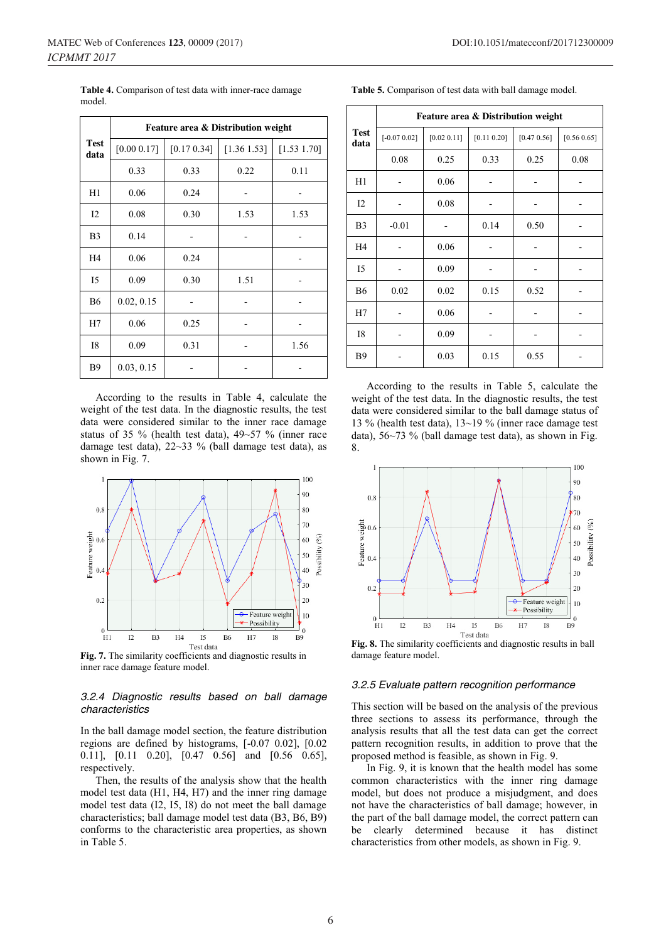|                | Feature area & Distribution weight |             |             |             |  |
|----------------|------------------------------------|-------------|-------------|-------------|--|
| Test<br>data   | [0.00 0.17]                        | [0.17 0.34] | [1.36 1.53] | [1.53 1.70] |  |
|                | 0.33                               | 0.33        | 0.22        | 0.11        |  |
| H1             | 0.06                               | 0.24        |             |             |  |
| 12             | 0.08                               | 0.30        | 1.53        | 1.53        |  |
| B <sub>3</sub> | 0.14                               |             |             |             |  |
| H4             | 0.06                               | 0.24        |             |             |  |
| I5             | 0.09                               | 0.30        | 1.51        |             |  |
| <b>B6</b>      | 0.02, 0.15                         |             |             |             |  |
| H7             | 0.06                               | 0.25        |             |             |  |
| <b>I8</b>      | 0.09                               | 0.31        |             | 1.56        |  |
| <b>B</b> 9     | 0.03, 0.15                         |             |             |             |  |

**Table 4.** Comparison of test data with inner-race damage model.

According to the results in Table 4, calculate the weight of the test data. In the diagnostic results, the test data were considered similar to the inner race damage status of 35 % (health test data), 49~57 % (inner race damage test data), 22~33 % (ball damage test data), as shown in Fig. 7.



**Fig. 7.** The similarity coefficients and diagnostic results in inner race damage feature model.

#### *3.2.4 Diagnostic results based on ball damage characteristics*

In the ball damage model section, the feature distribution regions are defined by histograms, [-0.07 0.02], [0.02 0.11], [0.11 0.20], [0.47 0.56] and [0.56 0.65], respectively.

Then, the results of the analysis show that the health model test data (H1, H4, H7) and the inner ring damage model test data (I2, I5, I8) do not meet the ball damage characteristics; ball damage model test data (B3, B6, B9) conforms to the characteristic area properties, as shown in Table 5.

|  |  |  |  |  | <b>Table 5.</b> Comparison of test data with ball damage model. |
|--|--|--|--|--|-----------------------------------------------------------------|
|--|--|--|--|--|-----------------------------------------------------------------|

|                     | Feature area & Distribution weight |             |             |             |             |
|---------------------|------------------------------------|-------------|-------------|-------------|-------------|
| <b>Test</b><br>data | $[-0.07 0.02]$                     | [0.02 0.11] | [0.11 0.20] | [0.47 0.56] | [0.56 0.65] |
|                     | 0.08                               | 0.25        | 0.33        | 0.25        | 0.08        |
| H1                  |                                    | 0.06        |             |             |             |
| I2                  |                                    | 0.08        |             |             |             |
| B <sub>3</sub>      | $-0.01$                            |             | 0.14        | 0.50        |             |
| H4                  |                                    | 0.06        |             |             |             |
| I5                  |                                    | 0.09        |             |             |             |
| <b>B6</b>           | 0.02                               | 0.02        | 0.15        | 0.52        |             |
| H7                  |                                    | 0.06        |             |             |             |
| <b>I8</b>           |                                    | 0.09        |             |             |             |
| B9                  |                                    | 0.03        | 0.15        | 0.55        |             |

According to the results in Table 5, calculate the weight of the test data. In the diagnostic results, the test data were considered similar to the ball damage status of 13 % (health test data), 13~19 % (inner race damage test data), 56~73 % (ball damage test data), as shown in Fig. 8.



**Fig. 8.** The similarity coefficients and diagnostic results in ball damage feature model.

#### *3.2.5 Evaluate pattern recognition performance*

This section will be based on the analysis of the previous three sections to assess its performance, through the analysis results that all the test data can get the correct pattern recognition results, in addition to prove that the proposed method is feasible, as shown in Fig. 9.

In Fig. 9, it is known that the health model has some common characteristics with the inner ring damage model, but does not produce a misjudgment, and does not have the characteristics of ball damage; however, in the part of the ball damage model, the correct pattern can be clearly determined because it has distinct characteristics from other models, as shown in Fig. 9.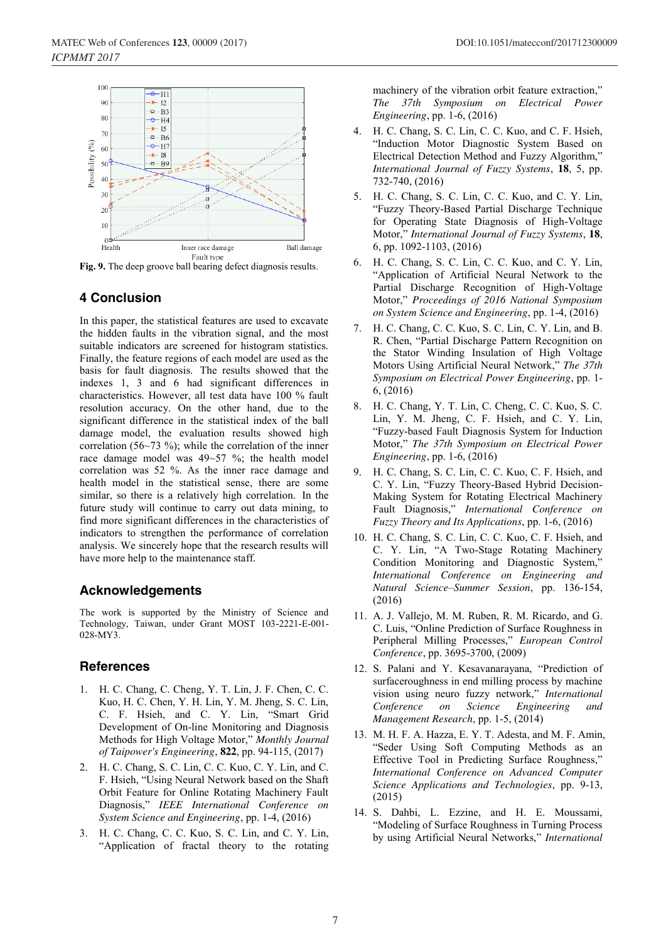

**Fig. 9.** The deep groove ball bearing defect diagnosis results.

# **4 Conclusion**

In this paper, the statistical features are used to excavate the hidden faults in the vibration signal, and the most suitable indicators are screened for histogram statistics. Finally, the feature regions of each model are used as the basis for fault diagnosis. The results showed that the indexes 1, 3 and 6 had significant differences in characteristics. However, all test data have 100 % fault resolution accuracy. On the other hand, due to the significant difference in the statistical index of the ball damage model, the evaluation results showed high correlation (56~73 %); while the correlation of the inner race damage model was 49~57 %; the health model correlation was 52 %. As the inner race damage and health model in the statistical sense, there are some similar, so there is a relatively high correlation. In the future study will continue to carry out data mining, to find more significant differences in the characteristics of indicators to strengthen the performance of correlation analysis. We sincerely hope that the research results will have more help to the maintenance staff.

# **Acknowledgements**

The work is supported by the Ministry of Science and Technology, Taiwan, under Grant MOST 103-2221-E-001- 028-MY3.

# **References**

- 1. H. C. Chang, C. Cheng, Y. T. Lin, J. F. Chen, C. C. Kuo, H. C. Chen, Y. H. Lin, Y. M. Jheng, S. C. Lin, C. F. Hsieh, and C. Y. Lin, "Smart Grid Development of On-line Monitoring and Diagnosis Methods for High Voltage Motor," *Monthly Journal of Taipower's Engineering*, **822**, pp. 94-115, (2017)
- 2. H. C. Chang, S. C. Lin, C. C. Kuo, C. Y. Lin, and C. F. Hsieh, "Using Neural Network based on the Shaft Orbit Feature for Online Rotating Machinery Fault Diagnosis," *IEEE International Conference on System Science and Engineering*, pp. 1-4, (2016)
- 3. H. C. Chang, C. C. Kuo, S. C. Lin, and C. Y. Lin, "Application of fractal theory to the rotating

machinery of the vibration orbit feature extraction," *The 37th Symposium on Electrical Power Engineering*, pp. 1-6, (2016)

- 4. H. C. Chang, S. C. Lin, C. C. Kuo, and C. F. Hsieh, "Induction Motor Diagnostic System Based on Electrical Detection Method and Fuzzy Algorithm," *International Journal of Fuzzy Systems*, **18**, 5, pp. 732-740, (2016)
- 5. H. C. Chang, S. C. Lin, C. C. Kuo, and C. Y. Lin, "Fuzzy Theory-Based Partial Discharge Technique for Operating State Diagnosis of High-Voltage Motor," *International Journal of Fuzzy Systems*, **18**, 6, pp. 1092-1103, (2016)
- 6. H. C. Chang, S. C. Lin, C. C. Kuo, and C. Y. Lin, "Application of Artificial Neural Network to the Partial Discharge Recognition of High-Voltage Motor," *Proceedings of 2016 National Symposium on System Science and Engineering*, pp. 1-4, (2016)
- 7. H. C. Chang, C. C. Kuo, S. C. Lin, C. Y. Lin, and B. R. Chen, "Partial Discharge Pattern Recognition on the Stator Winding Insulation of High Voltage Motors Using Artificial Neural Network," *The 37th Symposium on Electrical Power Engineering*, pp. 1- 6, (2016)
- 8. H. C. Chang, Y. T. Lin, C. Cheng, C. C. Kuo, S. C. Lin, Y. M. Jheng, C. F. Hsieh, and C. Y. Lin, "Fuzzy-based Fault Diagnosis System for Induction Motor," *The 37th Symposium on Electrical Power Engineering*, pp. 1-6, (2016)
- 9. H. C. Chang, S. C. Lin, C. C. Kuo, C. F. Hsieh, and C. Y. Lin, "Fuzzy Theory-Based Hybrid Decision-Making System for Rotating Electrical Machinery Fault Diagnosis," *International Conference on Fuzzy Theory and Its Applications*, pp. 1-6, (2016)
- 10. H. C. Chang, S. C. Lin, C. C. Kuo, C. F. Hsieh, and C. Y. Lin, "A Two-Stage Rotating Machinery Condition Monitoring and Diagnostic System," *International Conference on Engineering and Natural Science–Summer Session*, pp. 136-154, (2016)
- 11. A. J. Vallejo, M. M. Ruben, R. M. Ricardo, and G. C. Luis, "Online Prediction of Surface Roughness in Peripheral Milling Processes," *European Control Conference*, pp. 3695-3700, (2009)
- 12. S. Palani and Y. Kesavanarayana, "Prediction of surfaceroughness in end milling process by machine vision using neuro fuzzy network," *International Conference on Science Engineering and Management Research*, pp. 1-5, (2014)
- 13. M. H. F. A. Hazza, E. Y. T. Adesta, and M. F. Amin, "Seder Using Soft Computing Methods as an Effective Tool in Predicting Surface Roughness," *International Conference on Advanced Computer Science Applications and Technologies*, pp. 9-13, (2015)
- 14. S. Dahbi, L. Ezzine, and H. E. Moussami, "Modeling of Surface Roughness in Turning Process by using Artificial Neural Networks," *International*